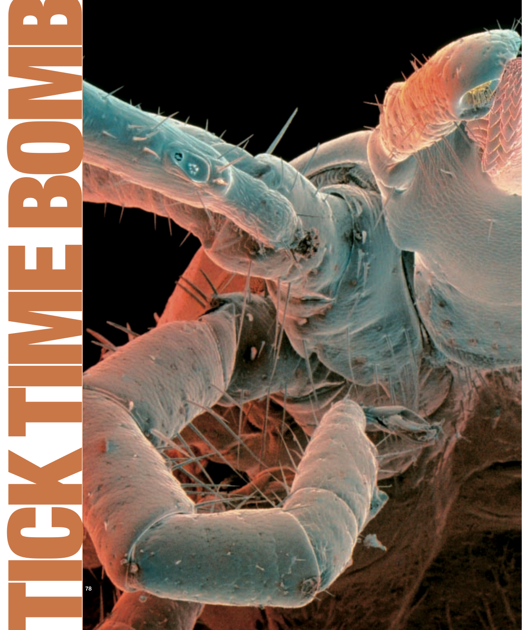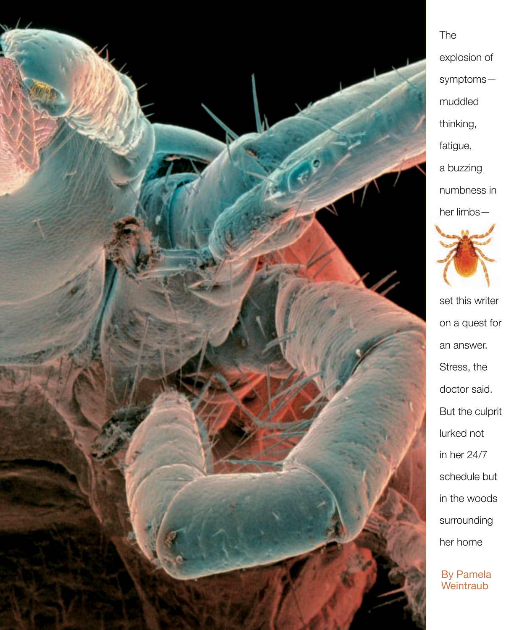

## explosion of symptoms muddled thinking, fatigue, a buzzing numbness in her limbs—

The



set this writer on a quest for an answer. Stress, the doctor said. But the culprit lurked not in her 24/7 schedule but in the woods surrounding her home

By Pamela **Weintraub**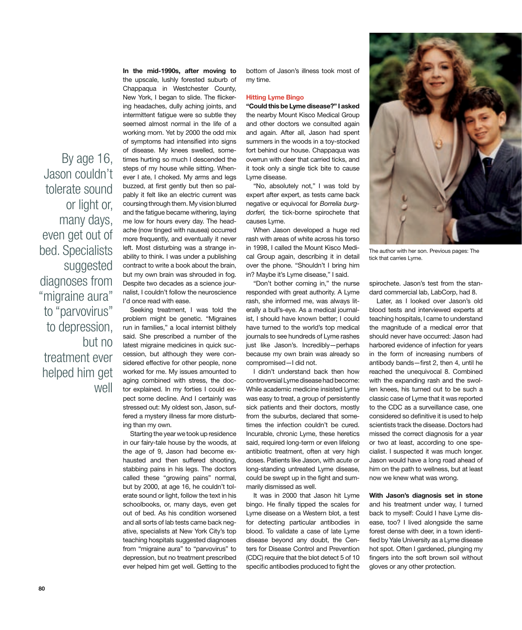By age 16, Jason couldn't tolerate sound or light or, many days, even get out of bed. Specialists suggested diagnoses from "migraine aura" to "parvovirus" to depression, but no treatment ever helped him get well

In the mid-1990s, after moving to the upscale, lushly forested suburb of Chappaqua in Westchester County, New York, I began to slide. The flickering headaches, dully aching joints, and intermittent fatigue were so subtle they seemed almost normal in the life of a working mom. Yet by 2000 the odd mix of symptoms had intensified into signs of disease. My knees swelled, sometimes hurting so much I descended the steps of my house while sitting. Whenever I ate, I choked. My arms and legs buzzed, at first gently but then so palpably it felt like an electric current was coursing through them. My vision blurred and the fatigue became withering, laying me low for hours every day. The headache (now tinged with nausea) occurred more frequently, and eventually it never left. Most disturbing was a strange inability to think. I was under a publishing contract to write a book about the brain, but my own brain was shrouded in fog. Despite two decades as a science journalist, I couldn't follow the neuroscience I'd once read with ease.

Seeking treatment, I was told the problem might be genetic. "Migraines run in families," a local internist blithely said. She prescribed a number of the latest migraine medicines in quick succession, but although they were considered effective for other people, none worked for me. My issues amounted to aging combined with stress, the doctor explained. In my forties I could expect some decline. And I certainly was stressed out: My oldest son, Jason, suffered a mystery illness far more disturbing than my own.

Starting the year we took up residence in our fairy-tale house by the woods, at the age of 9, Jason had become exhausted and then suffered shooting, stabbing pains in his legs. The doctors called these "growing pains" normal, but by 2000, at age 16, he couldn't tolerate sound or light, follow the text in his schoolbooks, or, many days, even get out of bed. As his condition worsened and all sorts of lab tests came back negative, specialists at New York City's top teaching hospitals suggested diagnoses from "migraine aura" to "parvovirus" to depression, but no treatment prescribed ever helped him get well. Getting to the bottom of Jason's illness took most of my time.

## Hitting Lyme Bingo

"Could this be Lyme disease?" I asked the nearby Mount Kisco Medical Group and other doctors we consulted again and again. After all, Jason had spent summers in the woods in a toy-stocked fort behind our house. Chappaqua was overrun with deer that carried ticks, and it took only a single tick bite to cause Lyme disease.

"No, absolutely not," I was told by expert after expert, as tests came back negative or equivocal for *Borrelia burgdorferi,* the tick-borne spirochete that causes Lyme.

When Jason developed a huge red rash with areas of white across his torso in 1998, I called the Mount Kisco Medical Group again, describing it in detail over the phone. "Shouldn't I bring him in? Maybe it's Lyme disease," I said.

"Don't bother coming in," the nurse responded with great authority. A Lyme rash, she informed me, was always literally a bull's-eye. As a medical journalist, I should have known better; I could have turned to the world's top medical journals to see hundreds of Lyme rashes just like Jason's. Incredibly—perhaps because my own brain was already so compromised—I did not.

I didn't understand back then how controversial Lyme disease had become: While academic medicine insisted Lyme was easy to treat, a group of persistently sick patients and their doctors, mostly from the suburbs, declared that sometimes the infection couldn't be cured. Incurable, chronic Lyme, these heretics said, required long-term or even lifelong antibiotic treatment, often at very high doses. Patients like Jason, with acute or long-standing untreated Lyme disease, could be swept up in the fight and summarily dismissed as well.

It was in 2000 that Jason hit Lyme bingo. He finally tipped the scales for Lyme disease on a Western blot, a test for detecting particular antibodies in blood. To validate a case of late Lyme disease beyond any doubt, the Centers for Disease Control and Prevention (CDC) require that the blot detect 5 of 10 specific antibodies produced to fight the



The author with her son. Previous pages: The tick that carries Lyme.

spirochete. Jason's test from the standard commercial lab, LabCorp, had 8.

Later, as I looked over Jason's old blood tests and interviewed experts at teaching hospitals, I came to understand the magnitude of a medical error that should never have occurred: Jason had harbored evidence of infection for years in the form of increasing numbers of antibody bands—first 2, then 4, until he reached the unequivocal 8. Combined with the expanding rash and the swollen knees, his turned out to be such a classic case of Lyme that it was reported to the CDC as a surveillance case, one considered so definitive it is used to help scientists track the disease. Doctors had missed the correct diagnosis for a year or two at least, according to one specialist. I suspected it was much longer. Jason would have a long road ahead of him on the path to wellness, but at least now we knew what was wrong.

With Jason's diagnosis set in stone and his treatment under way, I turned back to myself: Could I have Lyme disease, too? I lived alongside the same forest dense with deer, in a town identified by Yale University as a Lyme disease hot spot. Often I gardened, plunging my fingers into the soft brown soil without gloves or any other protection.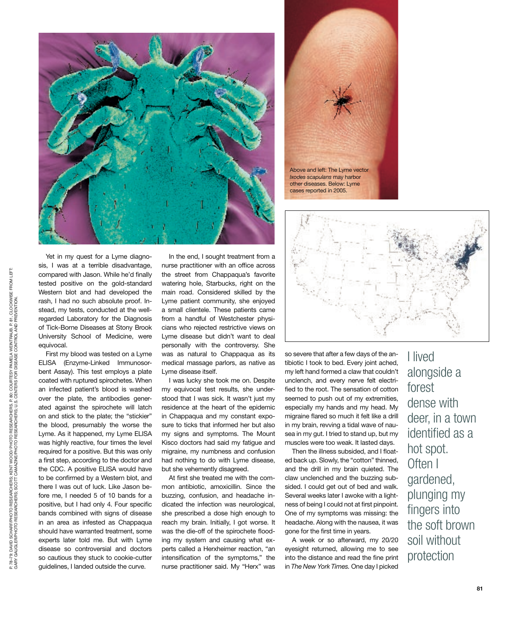



other diseases. Below: Lyme cases reported in 2005.



so severe that after a few days of the antibiotic I took to bed. Every joint ached, my left hand formed a claw that couldn't unclench, and every nerve felt electrified to the root. The sensation of cotton seemed to push out of my extremities, especially my hands and my head. My migraine flared so much it felt like a drill in my brain, revving a tidal wave of nausea in my gut. I tried to stand up, but my muscles were too weak. It lasted days.

Then the illness subsided, and I floated back up. Slowly, the "cotton" thinned, and the drill in my brain quieted. The claw unclenched and the buzzing subsided. I could get out of bed and walk. Several weeks later I awoke with a lightness of being I could not at first pinpoint. One of my symptoms was missing: the headache. Along with the nausea, it was gone for the first time in years.

A week or so afterward, my 20/20 eyesight returned, allowing me to see into the distance and read the fine print in *The New York Times.* One day I picked

I lived alongside a forest dense with deer, in a town identified as a hot spot. Often I gardened, plunging my fingers into the soft brown soil without protection

Yet in my quest for a Lyme diagnosis, I was at a terrible disadvantage, compared with Jason. While he'd finally tested positive on the gold-standard Western blot and had developed the rash, I had no such absolute proof. Instead, my tests, conducted at the wellregarded Laboratory for the Diagnosis of Tick-Borne Diseases at Stony Brook University School of Medicine, were equivocal.

First my blood was tested on a Lyme ELISA (Enzyme-Linked Immunosorbent Assay). This test employs a plate coated with ruptured spirochetes. When an infected patient's blood is washed over the plate, the antibodies generated against the spirochete will latch on and stick to the plate; the "stickier" the blood, presumably the worse the Lyme. As it happened, my Lyme ELISA was highly reactive, four times the level required for a positive. But this was only a first step, according to the doctor and the CDC. A positive ELISA would have to be confirmed by a Western blot, and there I was out of luck. Like Jason before me, I needed 5 of 10 bands for a positive, but I had only 4. Four specific bands combined with signs of disease in an area as infested as Chappaqua should have warranted treatment, some experts later told me. But with Lyme disease so controversial and doctors so cautious they stuck to cookie-cutter guidelines, I landed outside the curve.

In the end, I sought treatment from a nurse practitioner with an office across the street from Chappaqua's favorite watering hole, Starbucks, right on the main road. Considered skilled by the Lyme patient community, she enjoyed a small clientele. These patients came from a handful of Westchester physicians who rejected restrictive views on Lyme disease but didn't want to deal personally with the controversy. She was as natural to Chappaqua as its medical massage parlors, as native as Lyme disease itself.

I was lucky she took me on. Despite my equivocal test results, she understood that I was sick. It wasn't just my residence at the heart of the epidemic in Chappaqua and my constant exposure to ticks that informed her but also my signs and symptoms. The Mount Kisco doctors had said my fatigue and migraine, my numbness and confusion had nothing to do with Lyme disease, but she vehemently disagreed.

At first she treated me with the common antibiotic, amoxicillin. Since the buzzing, confusion, and headache indicated the infection was neurological, she prescribed a dose high enough to reach my brain. Initially, I got worse. It was the die-off of the spirochete flooding my system and causing what experts called a Herxheimer reaction, "an intensification of the symptoms," the nurse practitioner said. My "Herx" was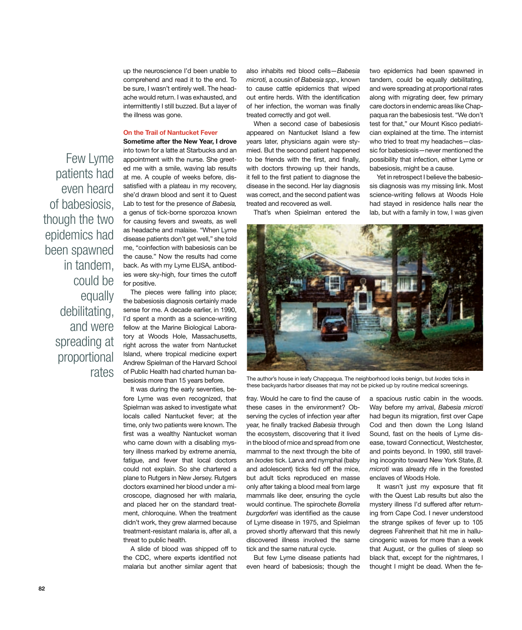up the neuroscience I'd been unable to comprehend and read it to the end. To be sure, I wasn't entirely well. The headache would return. I was exhausted, and intermittently I still buzzed. But a layer of the illness was gone.

## On the Trail of Nantucket Fever

Few Lyme patients had even heard of babesiosis, though the two epidemics had been spawned in tandem, could be equally debilitating, and were spreading at proportional

Sometime after the New Year, I drove into town for a latte at Starbucks and an appointment with the nurse. She greeted me with a smile, waving lab results at me. A couple of weeks before, dissatisfied with a plateau in my recovery, she'd drawn blood and sent it to Quest Lab to test for the presence of *Babesia,*  a genus of tick-borne sporozoa known for causing fevers and sweats, as well as headache and malaise. "When Lyme disease patients don't get well," she told me, "coinfection with babesiosis can be the cause." Now the results had come back. As with my Lyme ELISA, antibodies were sky-high, four times the cutoff for positive.

The pieces were falling into place; the babesiosis diagnosis certainly made sense for me. A decade earlier, in 1990, I'd spent a month as a science-writing fellow at the Marine Biological Laboratory at Woods Hole, Massachusetts, right across the water from Nantucket Island, where tropical medicine expert Andrew Spielman of the Harvard School of Public Health had charted human babesiosis more than 15 years before.

It was during the early seventies, before Lyme was even recognized, that Spielman was asked to investigate what locals called Nantucket fever; at the time, only two patients were known. The first was a wealthy Nantucket woman who came down with a disabling mystery illness marked by extreme anemia, fatigue, and fever that local doctors could not explain. So she chartered a plane to Rutgers in New Jersey. Rutgers doctors examined her blood under a microscope, diagnosed her with malaria, and placed her on the standard treatment, chloroquine. When the treatment didn't work, they grew alarmed because treatment-resistant malaria is, after all, a threat to public health.

A slide of blood was shipped off to the CDC, where experts identified not malaria but another similar agent that also inhabits red blood cells—*Babesia microti,* a cousin of *Babesia spp.,* known to cause cattle epidemics that wiped out entire herds. With the identification of her infection, the woman was finally treated correctly and got well.

When a second case of babesiosis appeared on Nantucket Island a few years later, physicians again were stymied. But the second patient happened to be friends with the first, and finally, with doctors throwing up their hands, it fell to the first patient to diagnose the disease in the second. Her lay diagnosis was correct, and the second patient was treated and recovered as well.

That's when Spielman entered the

two epidemics had been spawned in tandem, could be equally debilitating, and were spreading at proportional rates along with migrating deer, few primary care doctors in endemic areas like Chappaqua ran the babesiosis test. "We don't test for that," our Mount Kisco pediatrician explained at the time. The internist who tried to treat my headaches—classic for babesiosis—never mentioned the possibility that infection, either Lyme or babesiosis, might be a cause.

Yet in retrospect I believe the babesiosis diagnosis was my missing link. Most science-writing fellows at Woods Hole had stayed in residence halls near the lab, but with a family in tow, I was given



these backyards harbor diseases that may not be picked up by routine medical screenings.

fray. Would he care to find the cause of these cases in the environment? Observing the cycles of infection year after year, he finally tracked *Babesia* through the ecosystem, discovering that it lived in the blood of mice and spread from one mammal to the next through the bite of an *Ixodes* tick. Larva and nymphal (baby and adolescent) ticks fed off the mice, but adult ticks reproduced en masse only after taking a blood meal from large mammals like deer, ensuring the cycle would continue. The spirochete *Borrelia burgdorferi* was identified as the cause of Lyme disease in 1975, and Spielman proved shortly afterward that this newly discovered illness involved the same tick and the same natural cycle.

But few Lyme disease patients had even heard of babesiosis; though the a spacious rustic cabin in the woods. Way before my arrival, *Babesia microti* had begun its migration, first over Cape Cod and then down the Long Island Sound, fast on the heels of Lyme disease, toward Connecticut, Westchester, and points beyond. In 1990, still traveling incognito toward New York State, *B. microti* was already rife in the forested enclaves of Woods Hole.

It wasn't just my exposure that fit with the Quest Lab results but also the mystery illness I'd suffered after returning from Cape Cod. I never understood the strange spikes of fever up to 105 degrees Fahrenheit that hit me in hallucinogenic waves for more than a week that August, or the gullies of sleep so black that, except for the nightmares, I thought I might be dead. When the fe-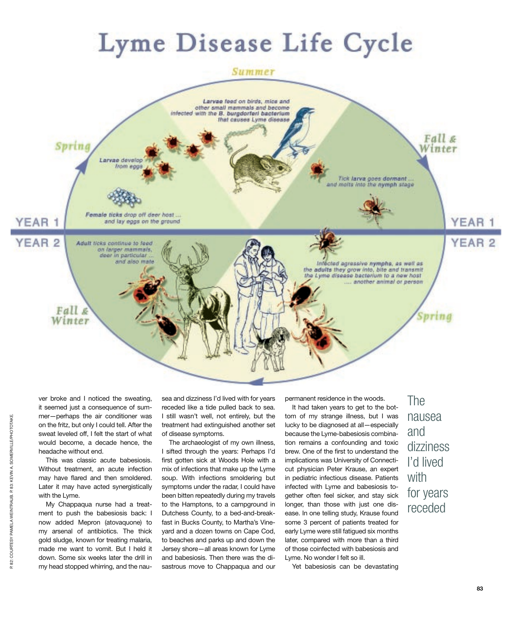## Lyme Disease Life Cycle



ver broke and I noticed the sweating, it seemed just a consequence of summer—perhaps the air conditioner was on the fritz, but only I could tell. After the sweat leveled off, I felt the start of what would become, a decade hence, the headache without end.

This was classic acute babesiosis. Without treatment, an acute infection may have flared and then smoldered. Later it may have acted synergistically with the Lyme.

My Chappaqua nurse had a treatment to push the babesiosis back: I now added Mepron (atovaquone) to my arsenal of antibiotics. The thick gold sludge, known for treating malaria, made me want to vomit. But I held it down. Some six weeks later the drill in my head stopped whirring, and the nau-

sea and dizziness I'd lived with for years receded like a tide pulled back to sea. I still wasn't well, not entirely, but the treatment had extinguished another set of disease symptoms.

The archaeologist of my own illness, I sifted through the years: Perhaps I'd first gotten sick at Woods Hole with a mix of infections that make up the Lyme soup. With infections smoldering but symptoms under the radar, I could have been bitten repeatedly during my travels to the Hamptons, to a campground in Dutchess County, to a bed-and-breakfast in Bucks County, to Martha's Vineyard and a dozen towns on Cape Cod, to beaches and parks up and down the Jersey shore—all areas known for Lyme and babesiosis. Then there was the disastrous move to Chappaqua and our

permanent residence in the woods.

It had taken years to get to the bottom of my strange illness, but I was lucky to be diagnosed at all—especially because the Lyme-babesiosis combination remains a confounding and toxic brew. One of the first to understand the implications was University of Connecticut physician Peter Krause, an expert in pediatric infectious disease. Patients infected with Lyme and babesiosis together often feel sicker, and stay sick longer, than those with just one disease. In one telling study, Krause found some 3 percent of patients treated for early Lyme were still fatigued six months later, compared with more than a third of those coinfected with babesiosis and Lyme. No wonder I felt so ill.

The nausea and dizziness I'd lived with for years receded

Yet babesiosis can be devastating